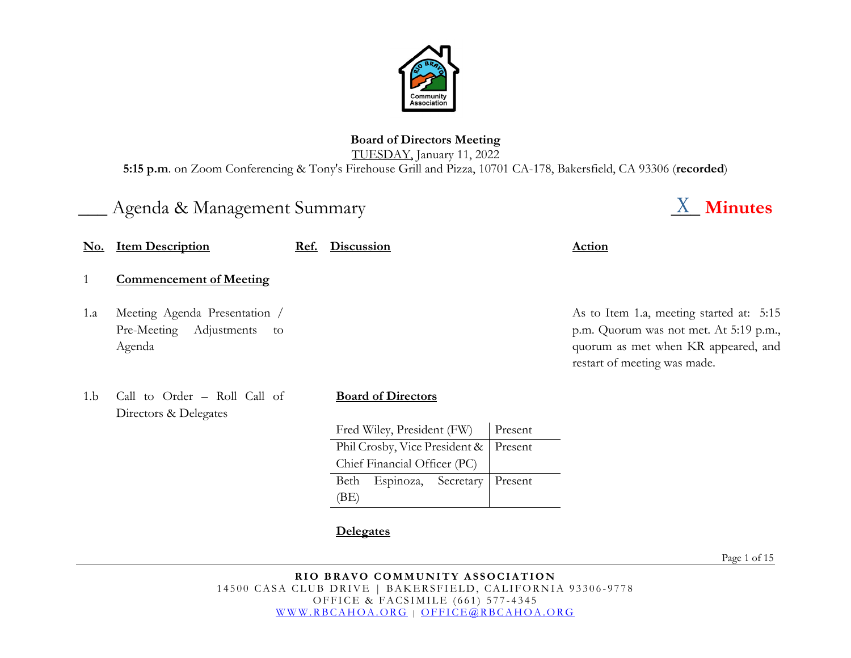

# **Board of Directors Meeting** TUESDAY, January 11, 2022

**5:15 p.m**. on Zoom Conferencing & Tony's Firehouse Grill and Pizza, 10701 CA-178, Bakersfield, CA 93306 (**recorded**)

# Agenda & Management Summary **Agent Agent Summary Agent Agent Agent Agent Agent Agent Agent Agent Agent** Agent Agent

|     | <b>No.</b> Item Description                                              | Ref. | <b>Discussion</b>              |         | <b>Action</b>                                                                                                                                             |
|-----|--------------------------------------------------------------------------|------|--------------------------------|---------|-----------------------------------------------------------------------------------------------------------------------------------------------------------|
|     | <b>Commencement of Meeting</b>                                           |      |                                |         |                                                                                                                                                           |
| 1.a | Meeting Agenda Presentation /<br>Pre-Meeting Adjustments<br>to<br>Agenda |      |                                |         | As to Item 1.a, meeting started at: 5:15<br>p.m. Quorum was not met. At 5:19 p.m.,<br>quorum as met when KR appeared, and<br>restart of meeting was made. |
| 1.b | Call to Order - Roll Call of<br>Directors & Delegates                    |      | <b>Board of Directors</b>      |         |                                                                                                                                                           |
|     |                                                                          |      | Fred Wiley, President (FW)     | Present |                                                                                                                                                           |
|     |                                                                          |      | Phil Crosby, Vice President &  | Present |                                                                                                                                                           |
|     |                                                                          |      | Chief Financial Officer (PC)   |         |                                                                                                                                                           |
|     |                                                                          |      | Beth<br>Espinoza,<br>Secretary | Present |                                                                                                                                                           |
|     |                                                                          |      | (BE)                           |         |                                                                                                                                                           |
|     |                                                                          |      |                                |         |                                                                                                                                                           |

# **Delegates**

Page 1 of 15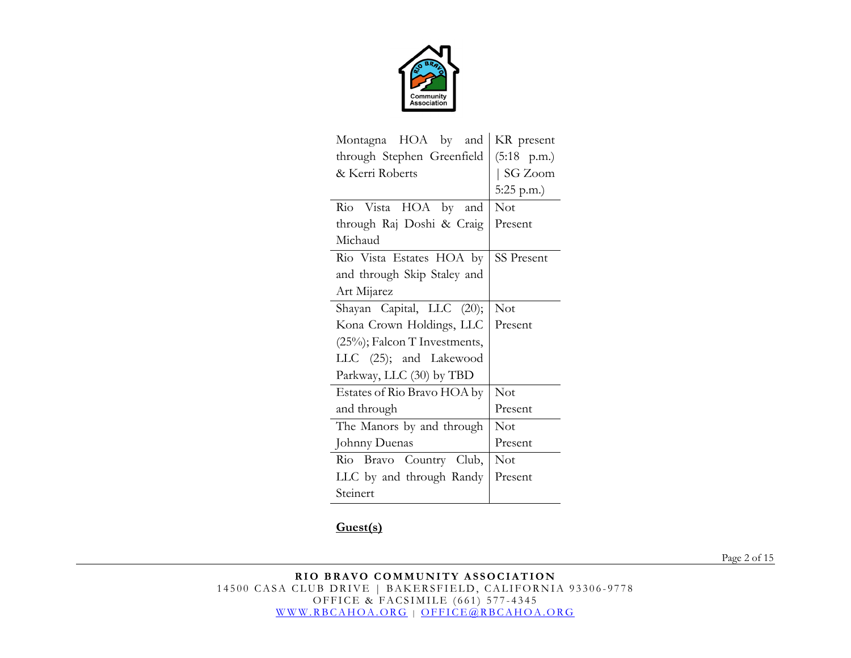

| Montagna HOA by and              | KR present            |
|----------------------------------|-----------------------|
| through Stephen Greenfield       | $(5:18 \text{ p.m.})$ |
| & Kerri Roberts                  | SG Zoom               |
|                                  | $5:25$ p.m.)          |
| Rio Vista HOA by and             | Not                   |
| through Raj Doshi & Craig        | Present               |
| Michaud                          |                       |
| Rio Vista Estates HOA by         | <b>SS Present</b>     |
| and through Skip Staley and      |                       |
| Art Mijarez                      |                       |
| Shayan Capital, LLC (20);        | Not                   |
| Kona Crown Holdings, LLC         | Present               |
| $(25\%)$ ; Falcon T Investments, |                       |
| LLC (25); and Lakewood           |                       |
| Parkway, LLC (30) by TBD         |                       |
| Estates of Rio Bravo HOA by      | <b>Not</b>            |
| and through                      | Present               |
| The Manors by and through        | <b>Not</b>            |
| Johnny Duenas                    | Present               |
| Rio Bravo Country Club,          | <b>Not</b>            |
| LLC by and through Randy         | Present               |
| Steinert                         |                       |

# **Guest(s)**

Page 2 of 15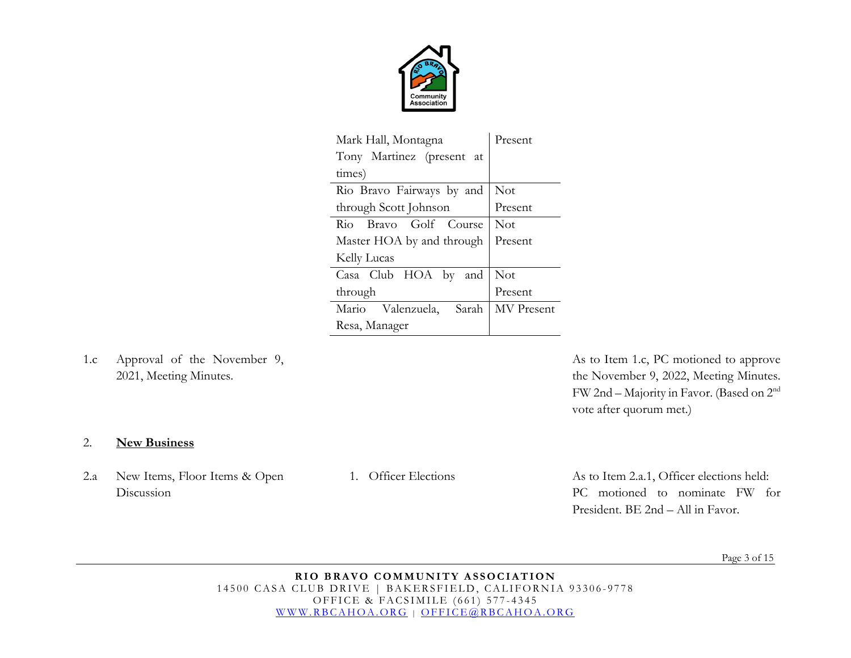

| Mark Hall, Montagna           | Present    |
|-------------------------------|------------|
| Tony Martinez (present at     |            |
| times)                        |            |
| Rio Bravo Fairways by and     | <b>Not</b> |
| through Scott Johnson         | Present    |
| Rio Bravo Golf Course         | Not        |
| Master HOA by and through     | Present    |
| Kelly Lucas                   |            |
| Casa Club HOA<br>by<br>and    | <b>Not</b> |
| through                       | Present    |
| Mario<br>Valenzuela,<br>Sarah | MV Present |
| Resa, Manager                 |            |

1.c Approval of the November 9, 2021, Meeting Minutes.

As to Item 1.c, PC motioned to approve the November 9, 2022, Meeting Minutes. FW 2nd – Majority in Favor. (Based on 2nd vote after quorum met.)

### 2. **New Business**

2.a New Items, Floor Items & Open Discussion

1. Officer Elections As to Item 2.a.1, Officer elections held: PC motioned to nominate FW for President. BE 2nd – All in Favor.

Page 3 of 15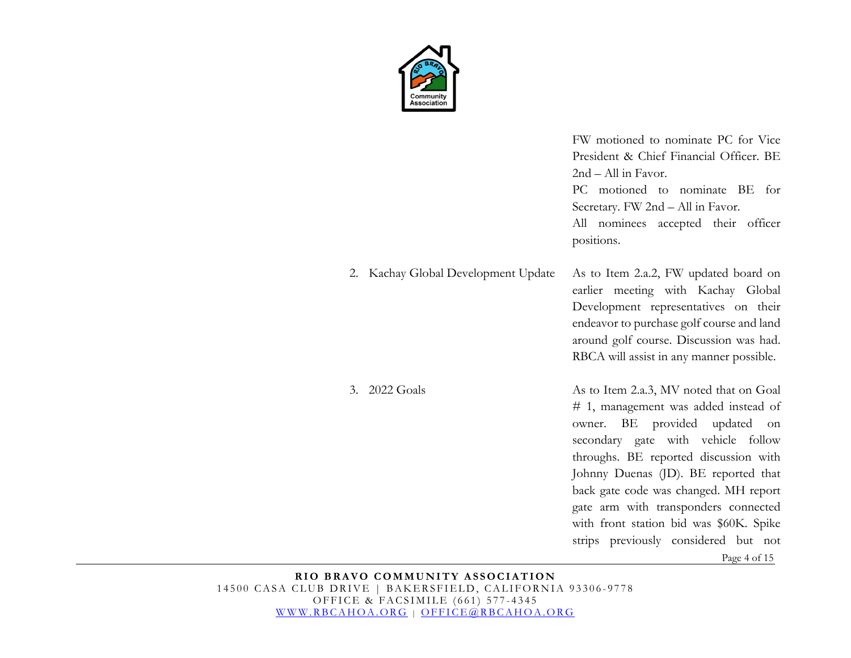

2. Kachay Global Development Update FW motioned to nominate PC for Vice President & Chief Financial Officer. BE 2nd – All in Favor. PC motioned to nominate BE for Secretary. FW 2nd – All in Favor. All nominees accepted their officer positions. As to Item 2.a.2, FW updated board on earlier meeting with Kachay Global Development representatives on their endeavor to purchase golf course and land around golf course. Discussion was had. RBCA will assist in any manner possible. As to Item 2.a.3, MV noted that on Goal # 1, management was added instead of owner. BE provided updated on secondary gate with vehicle follow throughs. BE reported discussion with Johnny Duenas (JD). BE reported that back gate code was changed. MH report gate arm with transponders connected with front station bid was \$60K. Spike strips previously considered but not

Page 4 of 15

**RIO BRAVO COMMUNITY ASSOCIATION** 14500 CASA CLUB DRIVE | BAKERSFIELD, CALIFORNIA 93306-9778 OFFICE & FACSIMILE (661) 577 - 4345 [WWW.RBCAHOA.ORG](http://www.rbcahoa.org/) | [OFFICE@RBCAHOA.ORG](mailto:OFFICE@RBCAHOA.ORG)

3. 2022 Goals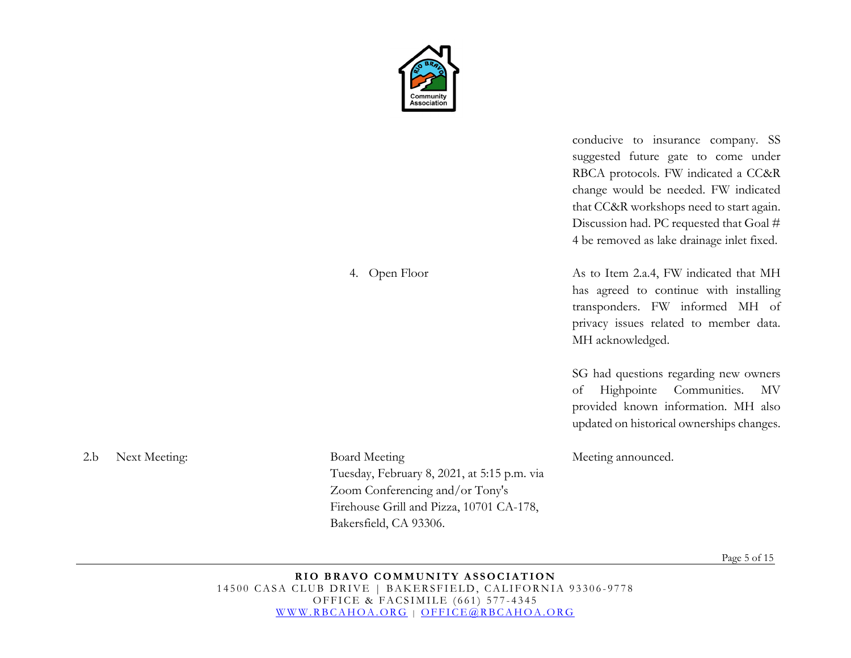

4. Open Floor

conducive to insurance company. SS suggested future gate to come under RBCA protocols. FW indicated a CC&R change would be needed. FW indicated that CC&R workshops need to start again. Discussion had. PC requested that Goal # 4 be removed as lake drainage inlet fixed.

As to Item 2.a.4, FW indicated that MH has agreed to continue with installing transponders. FW informed MH of privacy issues related to member data. MH acknowledged.

SG had questions regarding new owners of Highpointe Communities. MV provided known information. MH also updated on historical ownerships changes.

Meeting announced.

2.b Next Meeting: Board Meeting

Tuesday, February 8, 2021, at 5:15 p.m. via Zoom Conferencing and/or Tony's Firehouse Grill and Pizza, 10701 CA-178, Bakersfield, CA 93306.

Page 5 of 15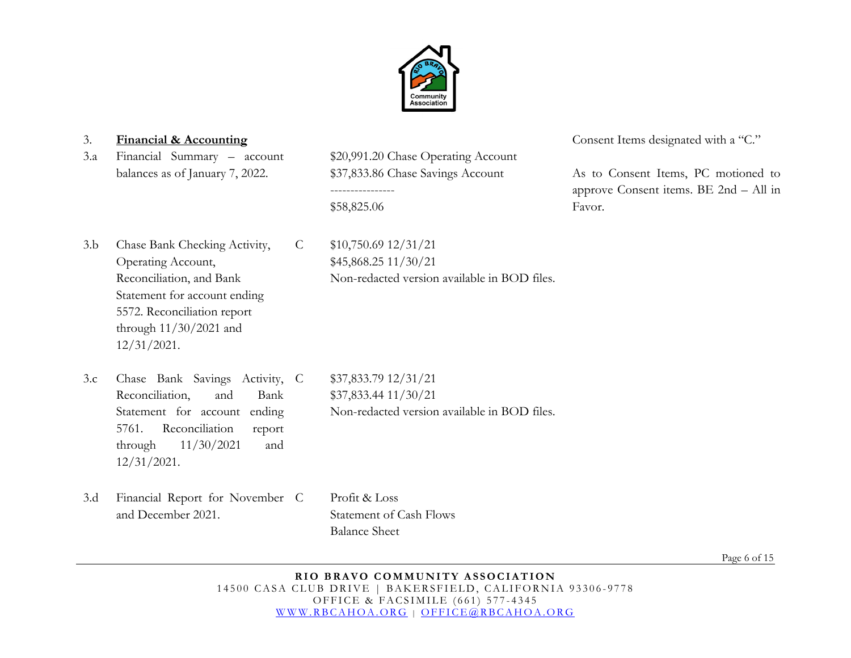

3.a Financial Summary – account balances as of January 7, 2022.

\$20,991.20 Chase Operating Account \$37,833.86 Chase Savings Account ---------------- \$58,825.06

Non-redacted version available in BOD files.

C \$10,750.69 12/31/21

\$45,868.25 11/30/21

3.b Chase Bank Checking Activity, Operating Account, Reconciliation, and Bank Statement for account ending 5572. Reconciliation report through 11/30/2021 and 12/31/2021.

3. **Financial & Accounting** Consent Items designated with a "C."

As to Consent Items, PC motioned to approve Consent items. BE 2nd – All in Favor.

- 3.c Chase Bank Savings Activity, Reconciliation, and Bank Statement for account ending 5761. Reconciliation report through 11/30/2021 and 12/31/2021. C \$37,833.79 12/31/21 \$37,833.44 11/30/21 Non-redacted version available in BOD files.
- 3.d Financial Report for November and December 2021. Profit & Loss Statement of Cash Flows Balance Sheet

Page 6 of 15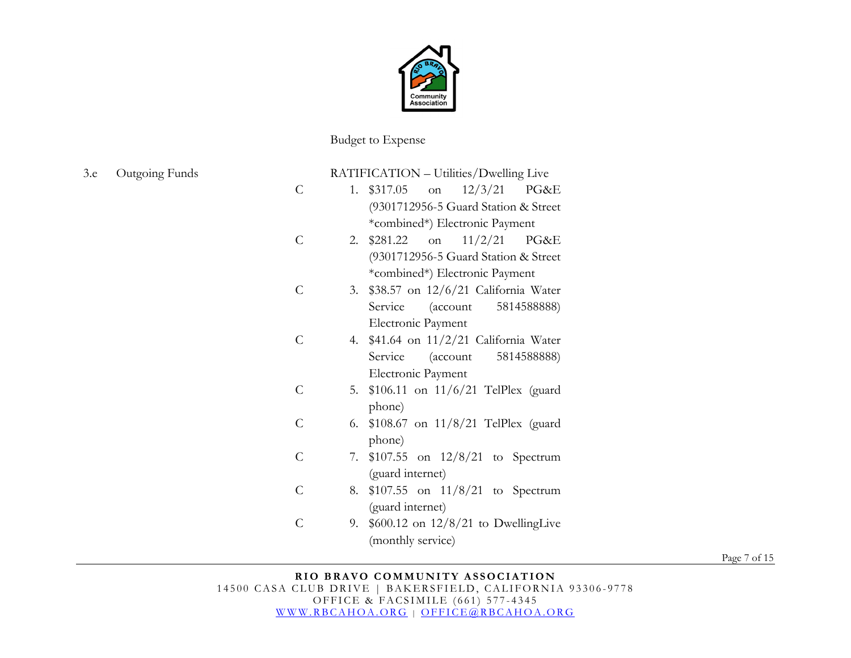

Budget to Expense

|                |    | RATIFICATION - Utilities/Dwelling Live          |
|----------------|----|-------------------------------------------------|
| $\overline{C}$ | 1. | \$317.05<br>on $12/3/21$<br>PG&E                |
|                |    | (9301712956-5 Guard Station & Street            |
|                |    | *combined*) Electronic Payment                  |
| C              | 2. | 11/2/21<br>\$281.22<br>PG&E<br>on               |
|                |    | (9301712956-5 Guard Station & Street            |
|                |    | *combined*) Electronic Payment                  |
| $\mathcal{C}$  | 3. | \$38.57 on 12/6/21 California Water             |
|                |    | Service<br>$(\text{account} \qquad 5814588888)$ |
|                |    | Electronic Payment                              |
| $\overline{C}$ | 4. | $$41.64$ on $11/2/21$ California Water          |
|                |    | Service<br>$(\text{account} \qquad 5814588888)$ |
|                |    | Electronic Payment                              |
| $\overline{C}$ | 5. | $$106.11$ on $11/6/21$ TelPlex (guard           |
|                |    | phone)                                          |
| $\overline{C}$ | 6. | \$108.67 on $11/8/21$ TelPlex (guard            |
|                |    | phone)                                          |
| $\overline{C}$ | 7. | $$107.55$ on $12/8/21$ to Spectrum              |
|                |    | (guard internet)                                |
| $\overline{C}$ | 8. | $$107.55$ on $11/8/21$ to Spectrum              |
|                |    | (guard internet)                                |
| C              | 9. | $$600.12$ on $12/8/21$ to DwellingLive          |
|                |    | (monthly service)                               |
|                |    |                                                 |

Page 7 of 15

# 3.e Outgoing Funds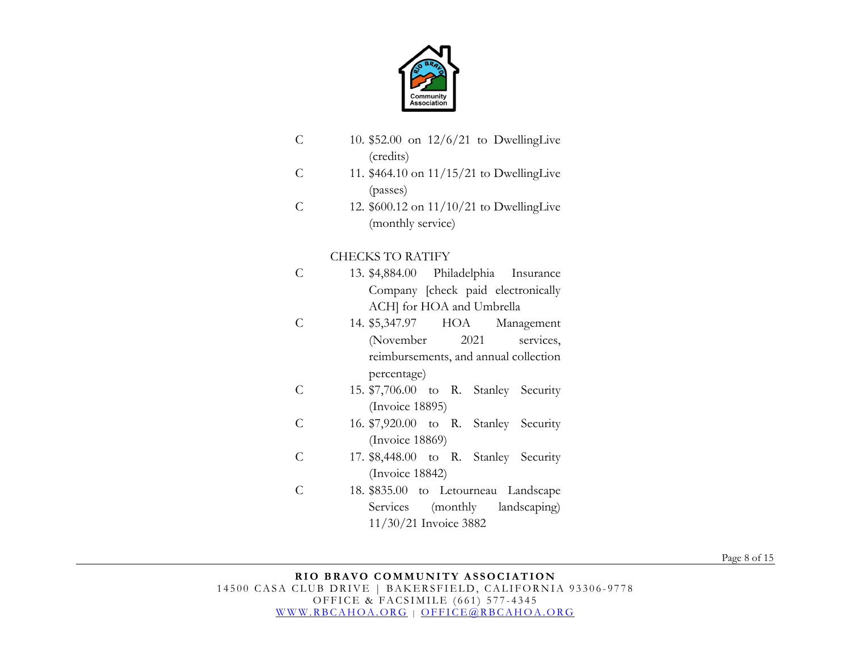

| C              | 10. $$52.00$ on $12/6/21$ to DwellingLive<br>(credits)        |
|----------------|---------------------------------------------------------------|
| $\mathcal{C}$  | 11. $$464.10$ on $11/15/21$ to DwellingLive<br>(passes)       |
| $\overline{C}$ | 12. \$600.12 on 11/10/21 to DwellingLive<br>(monthly service) |
|                | <b>CHECKS TO RATIFY</b>                                       |
| C              | 13. \$4,884.00 Philadelphia Insurance                         |
|                | Company [check paid electronically                            |
|                | ACH] for HOA and Umbrella                                     |
| C              | 14. \$5,347.97 HOA<br>Management                              |
|                | (November<br>2021<br>services,                                |
|                | reimbursements, and annual collection                         |
|                | percentage)                                                   |
| C              | 15. \$7,706.00 to R. Stanley Security                         |
|                | (Invoice 18895)                                               |
| $\mathcal{C}$  | 16. \$7,920.00 to R. Stanley Security                         |
|                | (Invoice 18869)                                               |
| $\overline{C}$ | 17. \$8,448.00 to R. Stanley Security                         |
|                | (Invoice 18842)                                               |
| $\overline{C}$ | 18. \$835.00 to Letourneau Landscape                          |
|                | Services (monthly landscaping)                                |

Page 8 of 15

11/30/21 Invoice 3882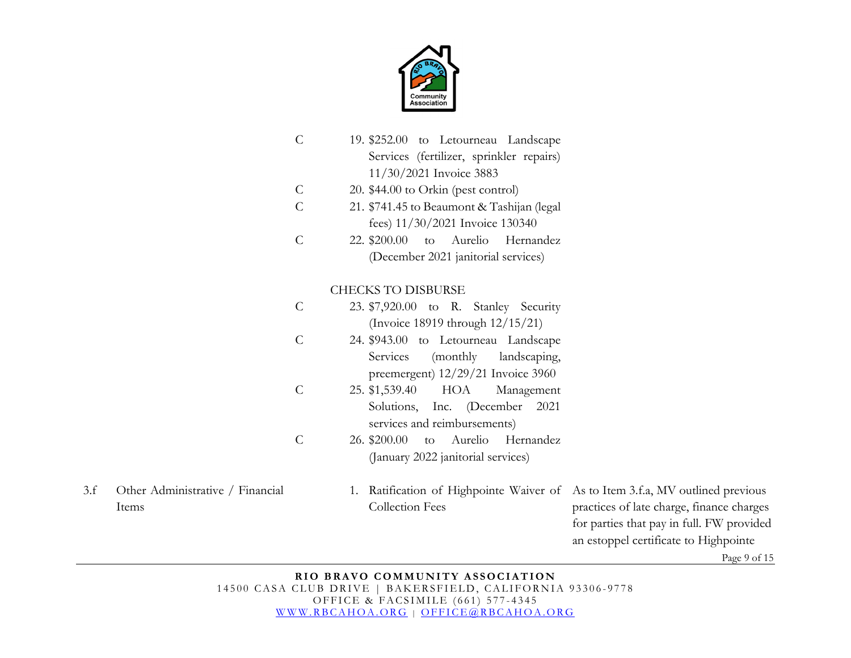

- $\mathcal{C}$ 19. \$252.00 to Letourneau Landscape Services (fertilizer, sprinkler repairs) 11/30/2021 Invoice 3883
- C 20. \$44.00 to Orkin (pest control)
- $\overline{C}$ 21. \$741.45 to Beaumont & Tashijan (legal fees) 11/30/2021 Invoice 130340
- C 22. \$200.00 to Aurelio Hernandez (December 2021 janitorial services)

# CHECKS TO DISBURSE

- C 23. \$7,920.00 to R. Stanley Security (Invoice 18919 through 12/15/21)
- C 24. \$943.00 to Letourneau Landscape Services (monthly landscaping, preemergent) 12/29/21 Invoice 3960
- C 25. \$1,539.40 HOA Management Solutions, Inc. (December 2021 services and reimbursements)
- C 26. \$200.00 to Aurelio Hernandez (January 2022 janitorial services)
- 3.f Other Administrative / Financial Items
- 1. Ratification of Highpointe Waiver of As to Item 3.f.a, MV outlined previous Collection Fees

practices of late charge, finance charges for parties that pay in full. FW provided an estoppel certificate to Highpointe

Page 9 of 15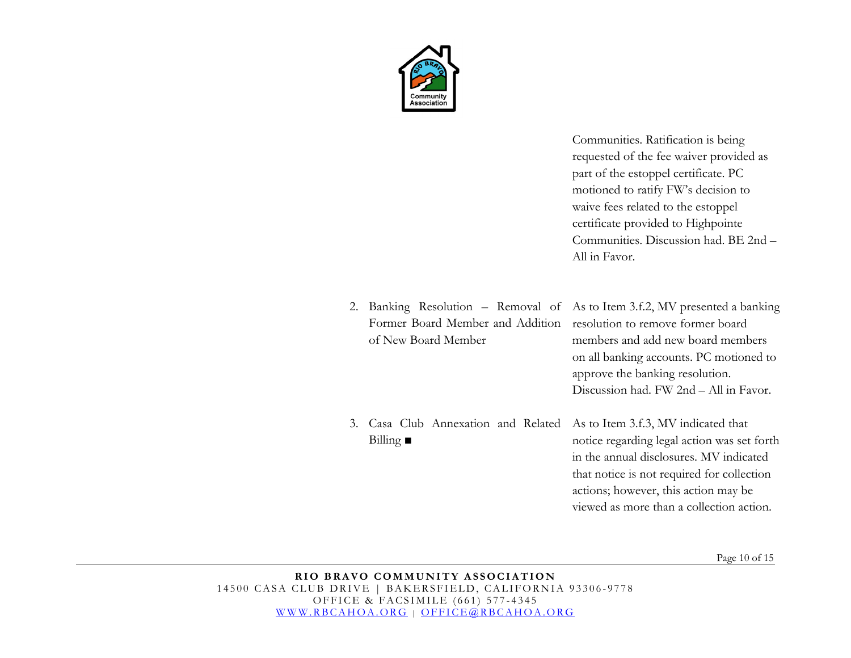

Communities. Ratification is being requested of the fee waiver provided as part of the estoppel certificate. PC motioned to ratify FW's decision to waive fees related to the estoppel certificate provided to Highpointe Communities. Discussion had. BE 2nd – All in Favor.

- 2. Banking Resolution Removal of As to Item 3.f.2, MV presented a banking Former Board Member and Addition resolution to remove former board of New Board Member members and add new board members on all banking accounts. PC motioned to approve the banking resolution. Discussion had. FW 2nd – All in Favor.
- 3. Casa Club Annexation and Related Billing **■**  As to Item 3.f.3, MV indicated that notice regarding legal action was set forth in the annual disclosures. MV indicated

that notice is not required for collection actions; however, this action may be viewed as more than a collection action.

Page 10 of 15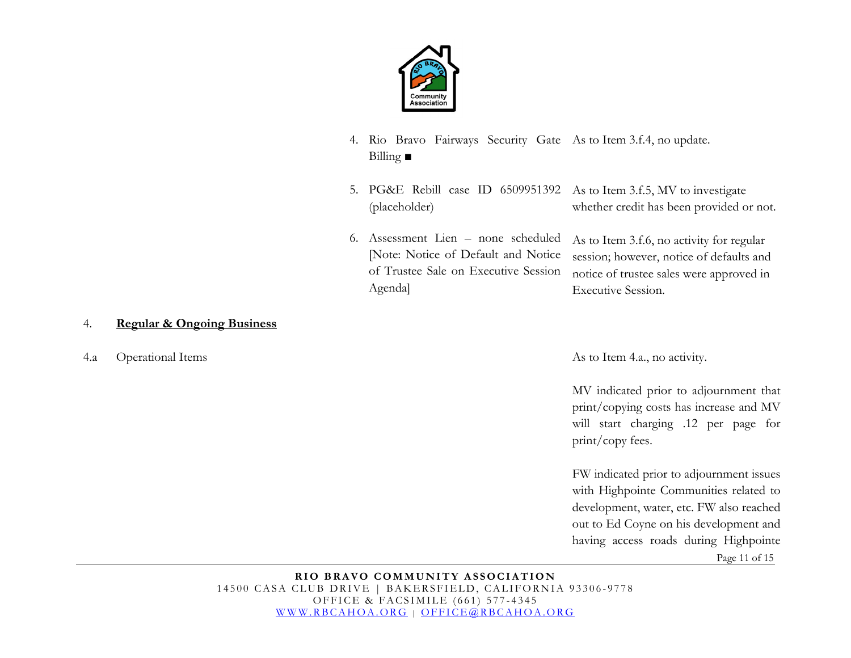

- 4. Rio Bravo Fairways Security Gate As to Item 3.f.4, no update. Billing **■**
- 5. PG&E Rebill case ID 6509951392 As to Item 3.f.5, MV to investigate (placeholder) whether credit has been provided or not.
- 6. Assessment Lien none scheduled [Note: Notice of Default and Notice of Trustee Sale on Executive Session Agenda]

As to Item 3.f.6, no activity for regular session; however, notice of defaults and notice of trustee sales were approved in Executive Session.

### 4. **Regular & Ongoing Business**

4.a Operational Items As to Item 4.a., no activity.

MV indicated prior to adjournment that print/copying costs has increase and MV will start charging .12 per page for print/copy fees.

Page 11 of 15 FW indicated prior to adjournment issues with Highpointe Communities related to development, water, etc. FW also reached out to Ed Coyne on his development and having access roads during Highpointe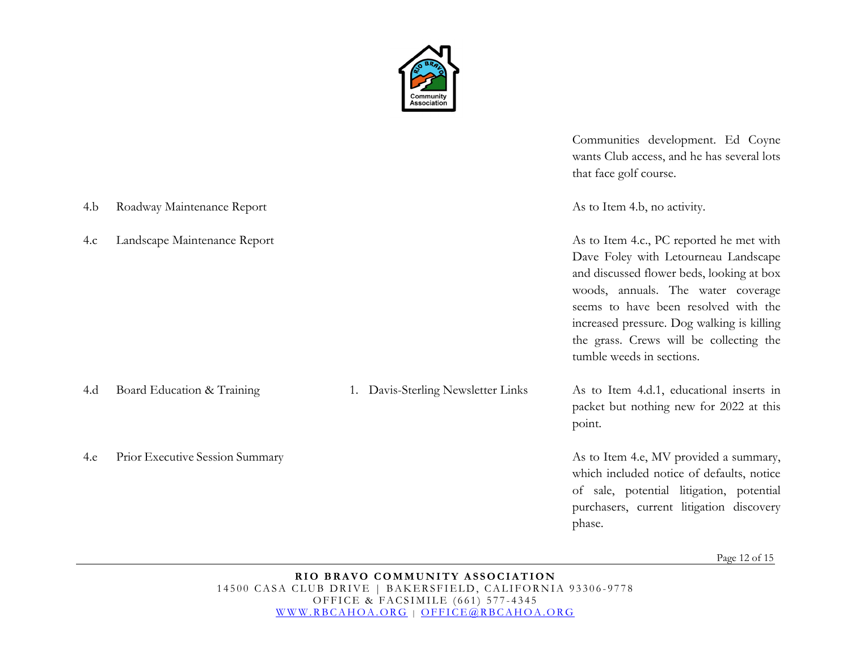

|     |                                 |                                    | Communities development. Ed Coyne<br>wants Club access, and he has several lots<br>that face golf course.                                                                                                                                                                                                                         |
|-----|---------------------------------|------------------------------------|-----------------------------------------------------------------------------------------------------------------------------------------------------------------------------------------------------------------------------------------------------------------------------------------------------------------------------------|
| 4.b | Roadway Maintenance Report      |                                    | As to Item 4.b, no activity.                                                                                                                                                                                                                                                                                                      |
| 4.c | Landscape Maintenance Report    |                                    | As to Item 4.c., PC reported he met with<br>Dave Foley with Letourneau Landscape<br>and discussed flower beds, looking at box<br>woods, annuals. The water coverage<br>seems to have been resolved with the<br>increased pressure. Dog walking is killing<br>the grass. Crews will be collecting the<br>tumble weeds in sections. |
| 4.d | Board Education & Training      | 1. Davis-Sterling Newsletter Links | As to Item 4.d.1, educational inserts in<br>packet but nothing new for 2022 at this<br>point.                                                                                                                                                                                                                                     |
| 4.e | Prior Executive Session Summary |                                    | As to Item 4.e, MV provided a summary,<br>which included notice of defaults, notice<br>of sale, potential litigation, potential<br>purchasers, current litigation discovery<br>phase.                                                                                                                                             |

Page 12 of 15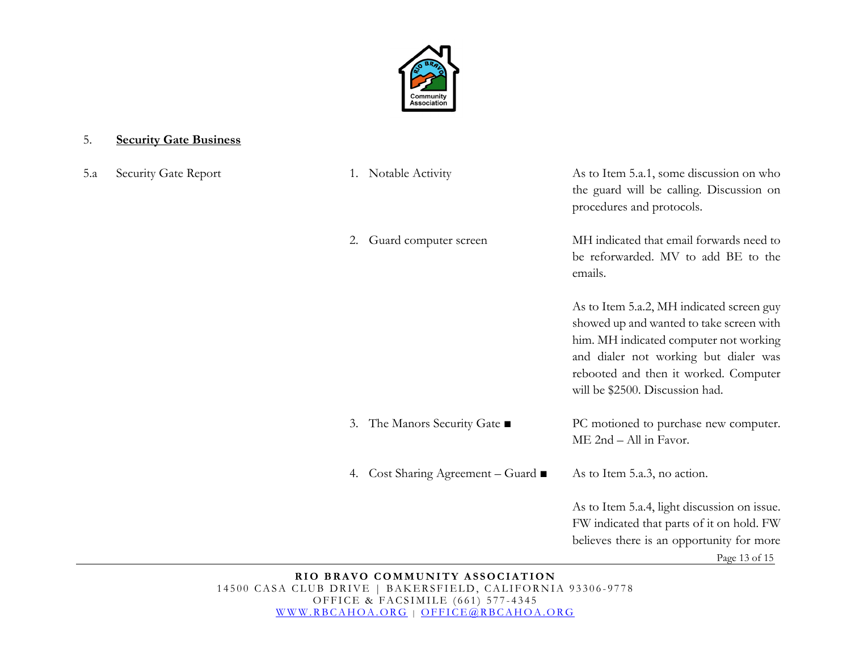

### 5. **Security Gate Business**

5.a Security Gate Report

|    | 1. Notable Activity               | As to Item 5.a.1, some discussion on who<br>the guard will be calling. Discussion on<br>procedures and protocols.                                                                                                                                    |
|----|-----------------------------------|------------------------------------------------------------------------------------------------------------------------------------------------------------------------------------------------------------------------------------------------------|
| 2. | Guard computer screen             | MH indicated that email forwards need to<br>be reforwarded. MV to add BE to the<br>emails.                                                                                                                                                           |
|    |                                   | As to Item 5.a.2, MH indicated screen guy<br>showed up and wanted to take screen with<br>him. MH indicated computer not working<br>and dialer not working but dialer was<br>rebooted and then it worked. Computer<br>will be \$2500. Discussion had. |
|    | 3. The Manors Security Gate ■     | PC motioned to purchase new computer.<br>ME 2nd - All in Favor.                                                                                                                                                                                      |
|    | 4. Cost Sharing Agreement – Guard | As to Item 5.a.3, no action.                                                                                                                                                                                                                         |
|    |                                   | As to Item 5.a.4, light discussion on issue.<br>FW indicated that parts of it on hold. FW<br>believes there is an opportunity for more<br>Page 13 of 15                                                                                              |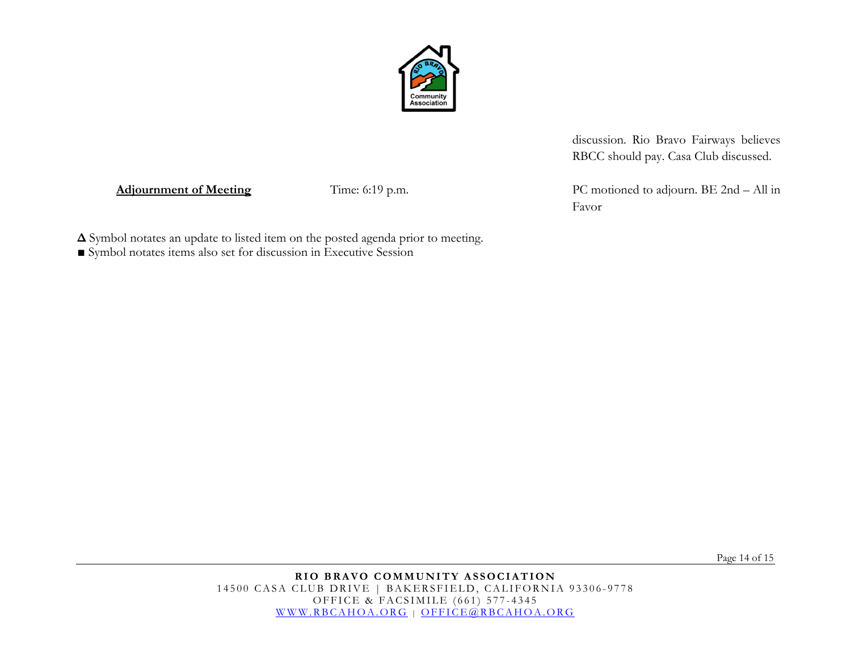

discussion. Rio Bravo Fairways believes RBCC should pay. Casa Club discussed.

Favor

Adjournment of Meeting Time: 6:19 p.m. PC motioned to adjourn. BE 2nd – All in

**Δ** Symbol notates an update to listed item on the posted agenda prior to meeting.

**■** Symbol notates items also set for discussion in Executive Session

Page 14 of 15